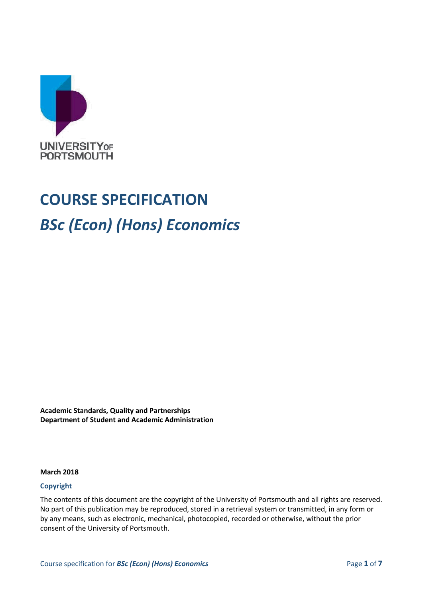

# **COURSE SPECIFICATION** *BSc (Econ) (Hons) Economics*

**Academic Standards, Quality and Partnerships Department of Student and Academic Administration**

#### **March 2018**

#### **Copyright**

The contents of this document are the copyright of the University of Portsmouth and all rights are reserved. No part of this publication may be reproduced, stored in a retrieval system or transmitted, in any form or by any means, such as electronic, mechanical, photocopied, recorded or otherwise, without the prior consent of the University of Portsmouth.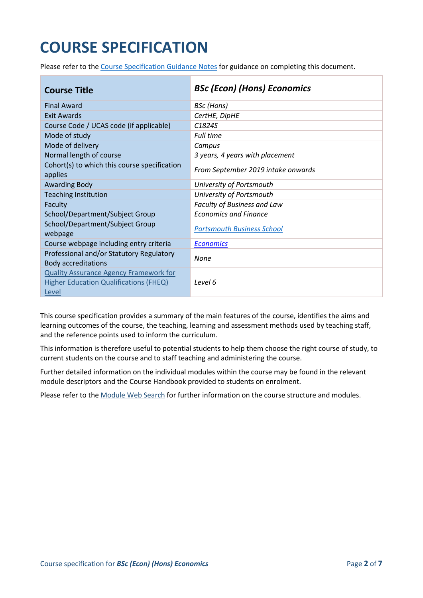## **COURSE SPECIFICATION**

Please refer to the [Course Specification Guidance Notes](http://www.port.ac.uk/departments/services/academicregistry/qmd/curriculum-framework-2019-20/filetodownload,201767,en.docx) for guidance on completing this document.

| <b>Course Title</b>                                                                                     | <b>BSc (Econ) (Hons) Economics</b> |
|---------------------------------------------------------------------------------------------------------|------------------------------------|
| <b>Final Award</b>                                                                                      | BSc (Hons)                         |
| Exit Awards                                                                                             | CertHE, DipHE                      |
| Course Code / UCAS code (if applicable)                                                                 | C <sub>1824S</sub>                 |
| Mode of study                                                                                           | <b>Full time</b>                   |
| Mode of delivery                                                                                        | Campus                             |
| Normal length of course                                                                                 | 3 years, 4 years with placement    |
| Cohort(s) to which this course specification<br>applies                                                 | From September 2019 intake onwards |
| <b>Awarding Body</b>                                                                                    | University of Portsmouth           |
| <b>Teaching Institution</b>                                                                             | University of Portsmouth           |
| Faculty                                                                                                 | Faculty of Business and Law        |
| School/Department/Subject Group                                                                         | <b>Economics and Finance</b>       |
| School/Department/Subject Group<br>webpage                                                              | <b>Portsmouth Business School</b>  |
| Course webpage including entry criteria                                                                 | <b>Economics</b>                   |
| Professional and/or Statutory Regulatory<br><b>Body accreditations</b>                                  | None                               |
| <b>Quality Assurance Agency Framework for</b><br><b>Higher Education Qualifications (FHEQ)</b><br>Level | Level 6                            |

This course specification provides a summary of the main features of the course, identifies the aims and learning outcomes of the course, the teaching, learning and assessment methods used by teaching staff, and the reference points used to inform the curriculum.

This information is therefore useful to potential students to help them choose the right course of study, to current students on the course and to staff teaching and administering the course.

Further detailed information on the individual modules within the course may be found in the relevant module descriptors and the Course Handbook provided to students on enrolment.

Please refer to the [Module Web Search](https://register.port.ac.uk/ords/f?p=111:1:0:::::) for further information on the course structure and modules.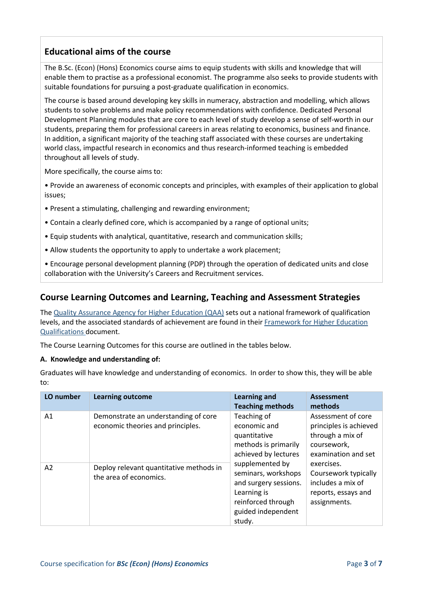## **Educational aims of the course**

The B.Sc. (Econ) (Hons) Economics course aims to equip students with skills and knowledge that will enable them to practise as a professional economist. The programme also seeks to provide students with suitable foundations for pursuing a post-graduate qualification in economics.

The course is based around developing key skills in numeracy, abstraction and modelling, which allows students to solve problems and make policy recommendations with confidence. Dedicated Personal Development Planning modules that are core to each level of study develop a sense of self-worth in our students, preparing them for professional careers in areas relating to economics, business and finance. In addition, a significant majority of the teaching staff associated with these courses are undertaking world class, impactful research in economics and thus research-informed teaching is embedded throughout all levels of study.

More specifically, the course aims to:

• Provide an awareness of economic concepts and principles, with examples of their application to global issues;

- Present a stimulating, challenging and rewarding environment;
- Contain a clearly defined core, which is accompanied by a range of optional units;
- Equip students with analytical, quantitative, research and communication skills;
- Allow students the opportunity to apply to undertake a work placement;

• Encourage personal development planning (PDP) through the operation of dedicated units and close collaboration with the University's Careers and Recruitment services.

### **Course Learning Outcomes and Learning, Teaching and Assessment Strategies**

The [Quality Assurance Agency for Higher Education \(QAA\)](http://www.qaa.ac.uk/en) sets out a national framework of qualification levels, and the associated standards of achievement are found in their [Framework for Higher Education](http://www.qaa.ac.uk/publications/information-and-guidance/publication/?PubID=2718#.WpmPXWrFL3i)  [Qualifications](http://www.qaa.ac.uk/publications/information-and-guidance/publication/?PubID=2718#.WpmPXWrFL3i) document.

The Course Learning Outcomes for this course are outlined in the tables below.

#### **A. Knowledge and understanding of:**

Graduates will have knowledge and understanding of economics. In order to show this, they will be able to:

| LO number      | <b>Learning outcome</b>                                                   | <b>Learning and</b><br><b>Teaching methods</b>                                                                                                                                                                                      | <b>Assessment</b><br>methods                                                                           |
|----------------|---------------------------------------------------------------------------|-------------------------------------------------------------------------------------------------------------------------------------------------------------------------------------------------------------------------------------|--------------------------------------------------------------------------------------------------------|
| A <sub>1</sub> | Demonstrate an understanding of core<br>economic theories and principles. | Teaching of<br>economic and<br>quantitative<br>methods is primarily<br>achieved by lectures<br>supplemented by<br>seminars, workshops<br>and surgery sessions.<br>Learning is<br>reinforced through<br>guided independent<br>study. | Assessment of core<br>principles is achieved<br>through a mix of<br>coursework,<br>examination and set |
| A <sub>2</sub> | Deploy relevant quantitative methods in<br>the area of economics.         |                                                                                                                                                                                                                                     | exercises.<br>Coursework typically<br>includes a mix of<br>reports, essays and<br>assignments.         |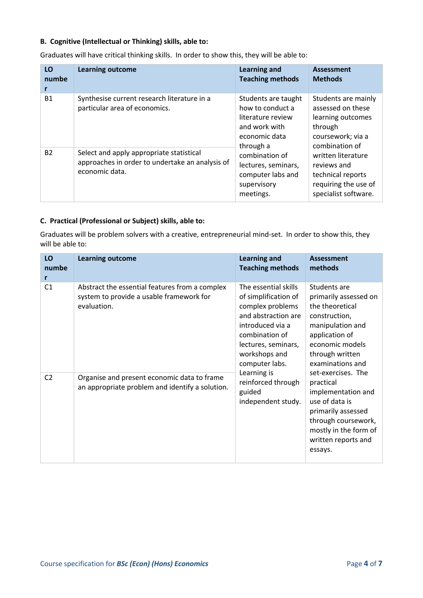#### **B. Cognitive (Intellectual or Thinking) skills, able to:**

Graduates will have critical thinking skills. In order to show this, they will be able to:

| LO<br>numbe | <b>Learning outcome</b>                                                                                       | <b>Learning and</b><br><b>Teaching methods</b>                                                                                                                                                        | <b>Assessment</b><br><b>Methods</b>                                                                                                                                                                                       |
|-------------|---------------------------------------------------------------------------------------------------------------|-------------------------------------------------------------------------------------------------------------------------------------------------------------------------------------------------------|---------------------------------------------------------------------------------------------------------------------------------------------------------------------------------------------------------------------------|
| <b>B1</b>   | Synthesise current research literature in a<br>particular area of economics.                                  | Students are taught<br>how to conduct a<br>literature review<br>and work with<br>economic data<br>through a<br>combination of<br>lectures, seminars,<br>computer labs and<br>supervisory<br>meetings. | Students are mainly<br>assessed on these<br>learning outcomes<br>through<br>coursework; via a<br>combination of<br>written literature<br>reviews and<br>technical reports<br>requiring the use of<br>specialist software. |
| <b>B2</b>   | Select and apply appropriate statistical<br>approaches in order to undertake an analysis of<br>economic data. |                                                                                                                                                                                                       |                                                                                                                                                                                                                           |

#### **C. Practical (Professional or Subject) skills, able to:**

Graduates will be problem solvers with a creative, entrepreneurial mind-set. In order to show this, they will be able to:

| LO<br>numbe<br>r | <b>Learning outcome</b>                                                                                   | <b>Learning and</b><br><b>Teaching methods</b>                                                                                                                                                                                                                                                                                                                                                                        | <b>Assessment</b><br>methods                                                                                    |
|------------------|-----------------------------------------------------------------------------------------------------------|-----------------------------------------------------------------------------------------------------------------------------------------------------------------------------------------------------------------------------------------------------------------------------------------------------------------------------------------------------------------------------------------------------------------------|-----------------------------------------------------------------------------------------------------------------|
| C <sub>1</sub>   | Abstract the essential features from a complex<br>system to provide a usable framework for<br>evaluation. | The essential skills<br>Students are<br>of simplification of<br>complex problems<br>the theoretical<br>and abstraction are<br>construction,<br>introduced via a<br>combination of<br>application of<br>lectures, seminars,<br>workshops and<br>through written<br>computer labs.<br>Learning is<br>set-exercises. The<br>reinforced through<br>practical<br>guided<br>independent study.<br>use of data is<br>essays. | primarily assessed on<br>manipulation and<br>economic models<br>examinations and                                |
| C <sub>2</sub>   | Organise and present economic data to frame<br>an appropriate problem and identify a solution.            |                                                                                                                                                                                                                                                                                                                                                                                                                       | implementation and<br>primarily assessed<br>through coursework,<br>mostly in the form of<br>written reports and |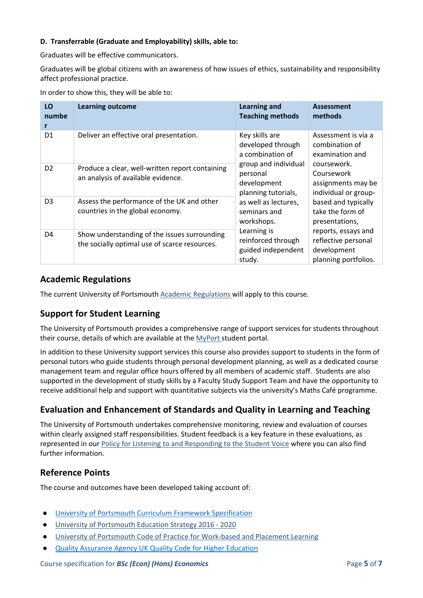#### **D. Transferrable (Graduate and Employability) skills, able to:**

Graduates will be effective communicators.

Graduates will be global citizens with an awareness of how issues of ethics, sustainability and responsibility affect professional practice.

In order to show this, they will be able to:

| LO<br>numbe<br>r | <b>Learning outcome</b>                                                                       | <b>Learning and</b><br><b>Teaching methods</b>                                                                          | <b>Assessment</b><br>methods                                                      |
|------------------|-----------------------------------------------------------------------------------------------|-------------------------------------------------------------------------------------------------------------------------|-----------------------------------------------------------------------------------|
| D <sub>1</sub>   | Deliver an effective oral presentation.                                                       | Key skills are<br>developed through<br>a combination of                                                                 | Assessment is via a<br>combination of<br>examination and                          |
| D <sub>2</sub>   | Produce a clear, well-written report containing<br>an analysis of available evidence.         | group and individual<br>personal<br>development<br>planning tutorials,                                                  | coursework.<br>Coursework<br>assignments may be<br>individual or group-           |
| D <sub>3</sub>   | Assess the performance of the UK and other<br>countries in the global economy.                | as well as lectures,<br>seminars and<br>workshops.<br>Learning is<br>reinforced through<br>guided independent<br>study. | based and typically<br>take the form of<br>presentations,                         |
| D4               | Show understanding of the issues surrounding<br>the socially optimal use of scarce resources. |                                                                                                                         | reports, essays and<br>reflective personal<br>development<br>planning portfolios. |

## **Academic Regulations**

The current University of Portsmouth [Academic Regulations](http://policies.docstore.port.ac.uk/policy-107.pdf?_ga=2.44997668.1234197307.1599461794-2095434147.1584443378) will apply to this course.

## **Support for Student Learning**

The University of Portsmouth provides a comprehensive range of support services for students throughout their course, details of which are available at the [MyPort](http://myport.ac.uk/) student portal.

In addition to these University support services this course also provides support to students in the form of personal tutors who guide students through personal development planning, as well as a dedicated course management team and regular office hours offered by all members of academic staff. Students are also supported in the development of study skills by a Faculty Study Support Team and have the opportunity to receive additional help and support with quantitative subjects via the university's Maths Café programme.

## **Evaluation and Enhancement of Standards and Quality in Learning and Teaching**

The University of Portsmouth undertakes comprehensive monitoring, review and evaluation of courses within clearly assigned staff responsibilities. Student feedback is a key feature in these evaluations, as represented in our [Policy for Listening to and Responding to the Student Voice](http://policies.docstore.port.ac.uk/policy-069.pdf) where you can also find further information.

## **Reference Points**

The course and outcomes have been developed taking account of:

- [University of Portsmouth Curriculum Framework Specification](http://policies.docstore.port.ac.uk/policy-217.pdf?_ga=2.186438510.637704940.1600265334-86764541.1593710288)
- [University of Portsmouth Education Strategy 2016 -](http://policies.docstore.port.ac.uk/policy-187.pdf) 2020
- [University of Portsmouth Code of Practice for Work-based and Placement Learning](http://policies.docstore.port.ac.uk/policy-151.pdf)
- **[Quality Assurance Agency UK Quality Code for Higher Education](https://www.qaa.ac.uk/quality-code/supporting-resources)**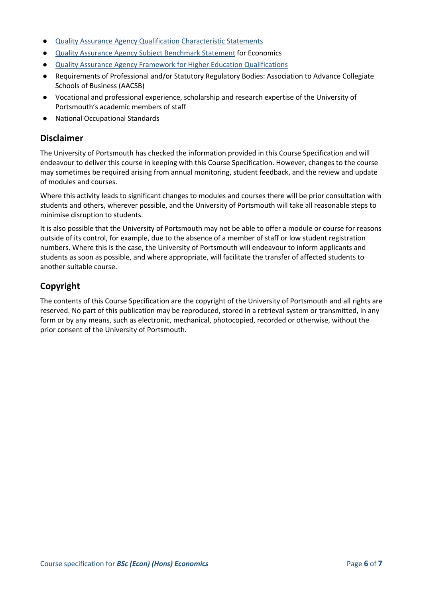- **[Quality Assurance Agency Qualification Characteristic Statements](https://www.qaa.ac.uk/quality-code/supporting-resources)**
- [Quality Assurance Agency Subject Benchmark Statement](http://www.qaa.ac.uk/assuring-standards-and-quality/the-quality-code/subject-benchmark-statements) for Economics
- [Quality Assurance Agency Framework for Higher Education Qualifications](http://www.qaa.ac.uk/publications/information-and-guidance/publication/?PubID=2718#.WpnZNmrFL3j)
- Requirements of Professional and/or Statutory Regulatory Bodies: Association to Advance Collegiate Schools of Business (AACSB)
- Vocational and professional experience, scholarship and research expertise of the University of Portsmouth's academic members of staff
- **National Occupational Standards**

#### **Disclaimer**

The University of Portsmouth has checked the information provided in this Course Specification and will endeavour to deliver this course in keeping with this Course Specification. However, changes to the course may sometimes be required arising from annual monitoring, student feedback, and the review and update of modules and courses.

Where this activity leads to significant changes to modules and courses there will be prior consultation with students and others, wherever possible, and the University of Portsmouth will take all reasonable steps to minimise disruption to students.

It is also possible that the University of Portsmouth may not be able to offer a module or course for reasons outside of its control, for example, due to the absence of a member of staff or low student registration numbers. Where this is the case, the University of Portsmouth will endeavour to inform applicants and students as soon as possible, and where appropriate, will facilitate the transfer of affected students to another suitable course.

## **Copyright**

The contents of this Course Specification are the copyright of the University of Portsmouth and all rights are reserved. No part of this publication may be reproduced, stored in a retrieval system or transmitted, in any form or by any means, such as electronic, mechanical, photocopied, recorded or otherwise, without the prior consent of the University of Portsmouth.